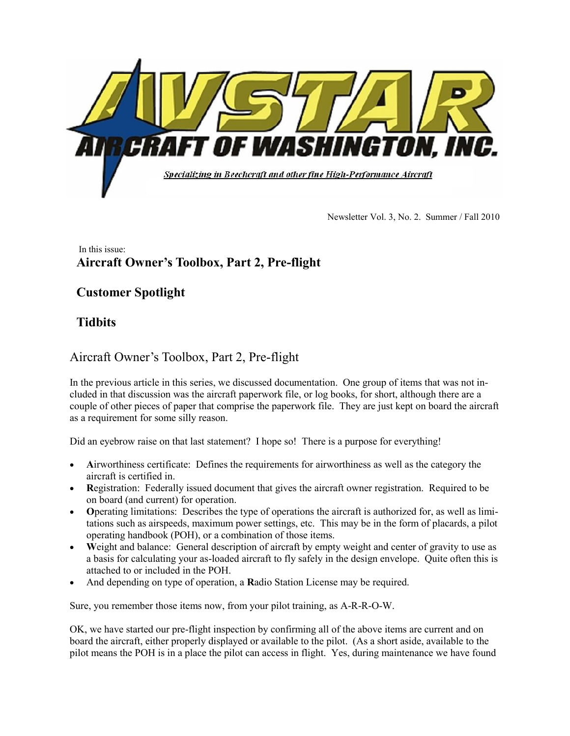

Newsletter Vol. 3, No. 2. Summer / Fall 2010

#### In this issue: **Aircraft Owner's Toolbox, Part 2, Pre-flight**

## **Customer Spotlight**

# **Tidbits**

## Aircraft Owner"s Toolbox, Part 2, Pre-flight

In the previous article in this series, we discussed documentation. One group of items that was not included in that discussion was the aircraft paperwork file, or log books, for short, although there are a couple of other pieces of paper that comprise the paperwork file. They are just kept on board the aircraft as a requirement for some silly reason.

Did an eyebrow raise on that last statement? I hope so! There is a purpose for everything!

- Airworthiness certificate: Defines the requirements for airworthiness as well as the category the aircraft is certified in.
- **R**egistration: Federally issued document that gives the aircraft owner registration. Required to be on board (and current) for operation.
- **O**perating limitations: Describes the type of operations the aircraft is authorized for, as well as limitations such as airspeeds, maximum power settings, etc. This may be in the form of placards, a pilot operating handbook (POH), or a combination of those items.
- **W**eight and balance: General description of aircraft by empty weight and center of gravity to use as a basis for calculating your as-loaded aircraft to fly safely in the design envelope. Quite often this is attached to or included in the POH.
- And depending on type of operation, a **R**adio Station License may be required.

Sure, you remember those items now, from your pilot training, as A-R-R-O-W.

OK, we have started our pre-flight inspection by confirming all of the above items are current and on board the aircraft, either properly displayed or available to the pilot. (As a short aside, available to the pilot means the POH is in a place the pilot can access in flight. Yes, during maintenance we have found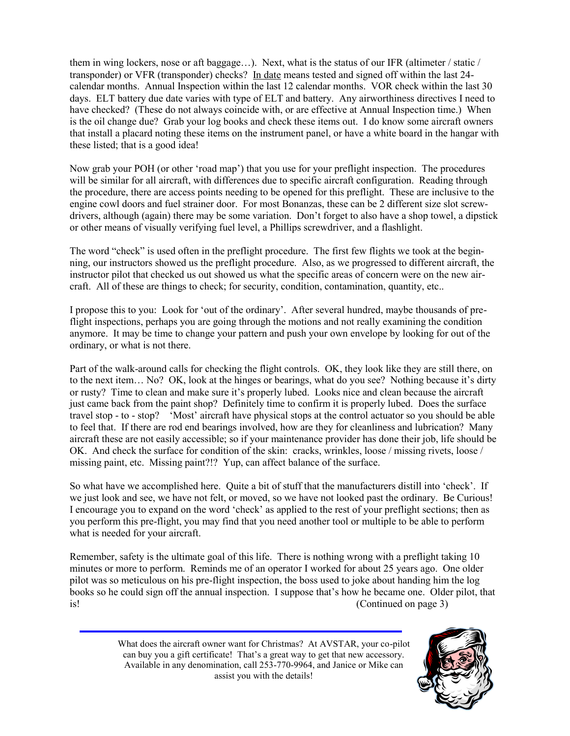them in wing lockers, nose or aft baggage…). Next, what is the status of our IFR (altimeter / static / transponder) or VFR (transponder) checks? In date means tested and signed off within the last 24 calendar months. Annual Inspection within the last 12 calendar months. VOR check within the last 30 days. ELT battery due date varies with type of ELT and battery. Any airworthiness directives I need to have checked? (These do not always coincide with, or are effective at Annual Inspection time.) When is the oil change due? Grab your log books and check these items out. I do know some aircraft owners that install a placard noting these items on the instrument panel, or have a white board in the hangar with these listed; that is a good idea!

Now grab your POH (or other "road map") that you use for your preflight inspection. The procedures will be similar for all aircraft, with differences due to specific aircraft configuration. Reading through the procedure, there are access points needing to be opened for this preflight. These are inclusive to the engine cowl doors and fuel strainer door. For most Bonanzas, these can be 2 different size slot screwdrivers, although (again) there may be some variation. Don"t forget to also have a shop towel, a dipstick or other means of visually verifying fuel level, a Phillips screwdriver, and a flashlight.

The word "check" is used often in the preflight procedure. The first few flights we took at the beginning, our instructors showed us the preflight procedure. Also, as we progressed to different aircraft, the instructor pilot that checked us out showed us what the specific areas of concern were on the new aircraft. All of these are things to check; for security, condition, contamination, quantity, etc..

I propose this to you: Look for "out of the ordinary". After several hundred, maybe thousands of preflight inspections, perhaps you are going through the motions and not really examining the condition anymore. It may be time to change your pattern and push your own envelope by looking for out of the ordinary, or what is not there.

Part of the walk-around calls for checking the flight controls. OK, they look like they are still there, on to the next item… No? OK, look at the hinges or bearings, what do you see? Nothing because it"s dirty or rusty? Time to clean and make sure it"s properly lubed. Looks nice and clean because the aircraft just came back from the paint shop? Definitely time to confirm it is properly lubed. Does the surface travel stop - to - stop? "Most" aircraft have physical stops at the control actuator so you should be able to feel that. If there are rod end bearings involved, how are they for cleanliness and lubrication? Many aircraft these are not easily accessible; so if your maintenance provider has done their job, life should be OK. And check the surface for condition of the skin: cracks, wrinkles, loose / missing rivets, loose / missing paint, etc. Missing paint?!? Yup, can affect balance of the surface.

So what have we accomplished here. Quite a bit of stuff that the manufacturers distill into "check". If we just look and see, we have not felt, or moved, so we have not looked past the ordinary. Be Curious! I encourage you to expand on the word "check" as applied to the rest of your preflight sections; then as you perform this pre-flight, you may find that you need another tool or multiple to be able to perform what is needed for your aircraft.

Remember, safety is the ultimate goal of this life. There is nothing wrong with a preflight taking 10 minutes or more to perform. Reminds me of an operator I worked for about 25 years ago. One older pilot was so meticulous on his pre-flight inspection, the boss used to joke about handing him the log books so he could sign off the annual inspection. I suppose that"s how he became one. Older pilot, that is! (Continued on page 3)

> What does the aircraft owner want for Christmas? At AVSTAR, your co-pilot can buy you a gift certificate! That's a great way to get that new accessory. Available in any denomination, call 253-770-9964, and Janice or Mike can assist you with the details!

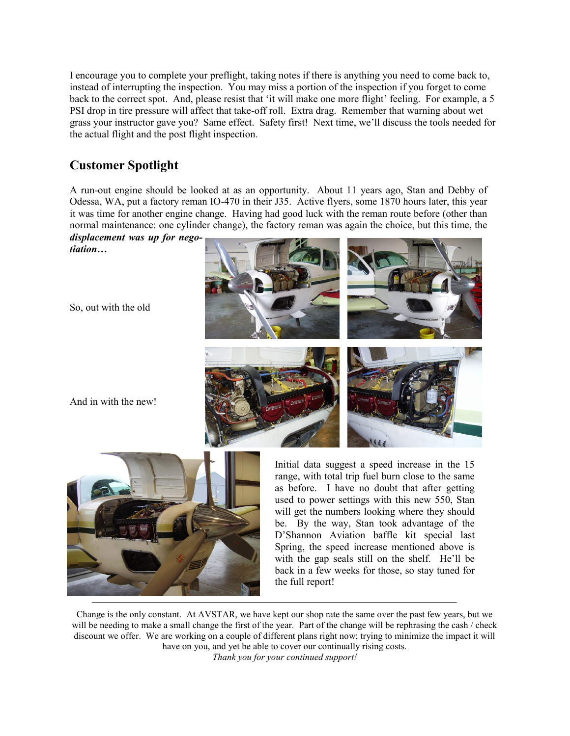I encourage you to complete your preflight, taking notes if there is anything you need to come back to, instead of interrupting the inspection. You may miss a portion of the inspection if you forget to come back to the correct spot. And, please resist that 'it will make one more flight' feeling. For example, a 5 PSI drop in tire pressure will affect that take-off roll. Extra drag. Remember that warning about wet grass your instructor gave you? Same effect. Safety first! Next time, we"ll discuss the tools needed for the actual flight and the post flight inspection.

# **Customer Spotlight**

A run-out engine should be looked at as an opportunity. About 11 years ago, Stan and Debby of Odessa, WA, put a factory reman IO-470 in their J35. Active flyers, some 1870 hours later, this year it was time for another engine change. Having had good luck with the reman route before (other than normal maintenance: one cylinder change), the factory reman was again the choice, but this time, the

*displacement was up for negotiation…*

So, out with the old

And in with the new!





Initial data suggest a speed increase in the 15 range, with total trip fuel burn close to the same as before. I have no doubt that after getting used to power settings with this new 550, Stan will get the numbers looking where they should be. By the way, Stan took advantage of the D"Shannon Aviation baffle kit special last Spring, the speed increase mentioned above is with the gap seals still on the shelf. He"ll be back in a few weeks for those, so stay tuned for the full report!

Change is the only constant. At AVSTAR, we have kept our shop rate the same over the past few years, but we will be needing to make a small change the first of the year. Part of the change will be rephrasing the cash / check discount we offer. We are working on a couple of different plans right now; trying to minimize the impact it will have on you, and yet be able to cover our continually rising costs. *Thank you for your continued support!*